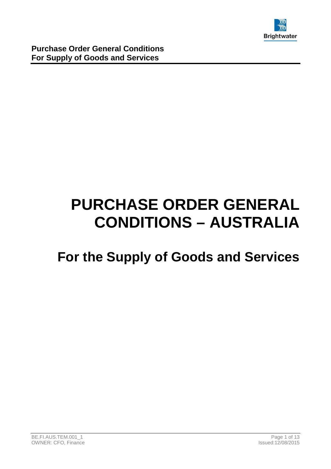

# **PURCHASE ORDER GENERAL CONDITIONS – AUSTRALIA**

## **For the Supply of Goods and Services**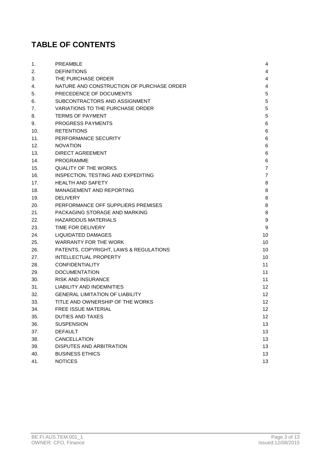### **TABLE OF CONTENTS**

| 1.  | <b>PREAMBLE</b>                           | 4  |
|-----|-------------------------------------------|----|
| 2.  | <b>DEFINITIONS</b>                        | 4  |
| 3.  | THE PURCHASE ORDER                        | 4  |
| 4.  | NATURE AND CONSTRUCTION OF PURCHASE ORDER | 4  |
| 5.  | PRECEDENCE OF DOCUMENTS                   | 5  |
| 6.  | SUBCONTRACTORS AND ASSIGNMENT             | 5  |
| 7.  | <b>VARIATIONS TO THE PURCHASE ORDER</b>   | 5  |
| 8.  | <b>TERMS OF PAYMENT</b>                   | 5  |
| 9.  | <b>PROGRESS PAYMENTS</b>                  | 6  |
| 10. | <b>RETENTIONS</b>                         | 6  |
| 11. | PERFORMANCE SECURITY                      | 6  |
| 12. | <b>NOVATION</b>                           | 6  |
| 13. | DIRECT AGREEMENT                          | 6  |
| 14. | <b>PROGRAMME</b>                          | 6  |
| 15. | QUALITY OF THE WORKS                      | 7  |
| 16. | INSPECTION, TESTING AND EXPEDITING        | 7  |
| 17. | <b>HEALTH AND SAFETY</b>                  | 8  |
| 18. | MANAGEMENT AND REPORTING                  | 8  |
| 19. | <b>DELIVERY</b>                           | 8  |
| 20. | PERFORMANCE OFF SUPPLIERS PREMISES        | 8  |
| 21. | PACKAGING STORAGE AND MARKING             | 8  |
| 22. | <b>HAZARDOUS MATERIALS</b>                | 9  |
| 23. | TIME FOR DELIVERY                         | 9  |
| 24. | <b>LIQUIDATED DAMAGES</b>                 | 10 |
| 25. | <b>WARRANTY FOR THE WORK</b>              | 10 |
| 26. | PATENTS, COPYRIGHT, LAWS & REGULATIONS    | 10 |
| 27. | <b>INTELLECTUAL PROPERTY</b>              | 10 |
| 28. | <b>CONFIDENTIALITY</b>                    | 11 |
| 29. | <b>DOCUMENTATION</b>                      | 11 |
| 30. | <b>RISK AND INSURANCE</b>                 | 11 |
| 31. | LIABILITY AND INDEMNITIES                 | 12 |
| 32. | <b>GENERAL LIMITATION OF LIABILITY</b>    | 12 |
| 33. | TITLE AND OWNERSHIP OF THE WORKS          | 12 |
| 34. | FREE ISSUE MATERIAL                       | 12 |
| 35. | <b>DUTIES AND TAXES</b>                   | 12 |
| 36. | <b>SUSPENSION</b>                         | 13 |
| 37. | <b>DEFAULT</b>                            | 13 |
| 38. | CANCELLATION                              | 13 |
| 39. | DISPUTES AND ARBITRATION                  | 13 |
| 40. | <b>BUSINESS ETHICS</b>                    | 13 |
| 41. | <b>NOTICES</b>                            | 13 |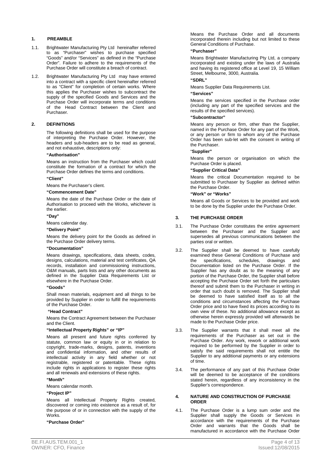#### **1. PREAMBLE**

- 1.1. Brightwater Manufacturing Pty Ltd hereinafter referred to as "Purchaser" wishes to purchase specified "Goods" and/or "Services" as defined in the "Purchase Order". Failure to adhere to the requirements of the Purchase Order will constitute a breach of contract.
- 1.2. Brightwater Manufacturing Pty Ltd may have entered into a contract with a specific client hereinafter referred to as "Client" for completion of certain works. Where this applies the Purchaser wishes to subcontract the supply of the specified Goods and Services and the Purchase Order will incorporate terms and conditions of the Head Contract between the Client and Purchaser.

#### **2. DEFINITIONS**

The following definitions shall be used for the purpose of interpreting the Purchase Order. However, the headers and sub-headers are to be read as general, and not exhaustive, descriptions only:

#### **"Authorisation"**

Means an instruction from the Purchaser which could constitute the formation of a contract for which the Purchase Order defines the terms and conditions.

**"Client"** 

Means the Purchaser's client.

#### **"Commencement Date"**

Means the date of the Purchase Order or the date of Authorisation to proceed with the Works, whichever is the earlier.

#### **"Day"**

Means calendar day.

#### **"Delivery Point"**

Means the delivery point for the Goods as defined in the Purchase Order delivery terms.

#### **"Documentation"**

Means drawings, specifications, data sheets, codes, designs, calculations, material and test certificates, QA records, installation and commissioning instructions, O&M manuals, parts lists and any other documents as defined in the Supplier Data Requirements List or elsewhere in the Purchase Order.

#### **"Goods"**

Shall mean materials, equipment and all things to be provided by Supplier in order to fulfill the requirements of the Purchase Order.

#### **"Head Contract"**

Means the Contract Agreement between the Purchaser and the Client.

#### **"Intellectual Property Rights" or "IP"**

Means all present and future rights conferred by statute, common law or equity in or in relation to copyright, trade-marks, designs, patents, inventions and confidential information, and other results of intellectual activity in any field whether or not registrable, registered or patentable. These rights include rights in applications to register these rights and all renewals and extensions of these rights.

#### **"Month"**

Means calendar month.

#### **"Project IP"**

Means all Intellectual Property Rights created, discovered or coming into existence as a result of, for the purpose of or in connection with the supply of the Works.

#### **"Purchase Order"**

 Means the Purchase Order and all documents incorporated therein including but not limited to these General Conditions of Purchase.

#### **"Purchaser"**

Means Brightwater Manufacturing Pty Ltd, a company incorporated and existing under the laws of Australia and having its registered office at Level 19, 15 William Street, Melbourne, 3000, Australia.

#### **"SDRL"**

Means Supplier Data Requirements List.

#### **"Services"**

Means the services specified in the Purchase order (including any part of the specified services and the results of the specified services).

#### **"Subcontractor"**

 Means any person or firm, other than the Supplier, named in the Purchase Order for any part of the Work, or any person or firm to whom any of the Purchase Order has been sub-let with the consent in writing of the Purchaser.

#### "**Supplier"**

 Means the person or organisation on which the Purchase Order is placed.

#### **"Supplier Critical Data"**

 Means the critical Documentation required to be submitted to Purchaser by Supplier as defined within the Purchase Order.

#### **"Work" or "Works"**

 Means all Goods or Services to be provided and work to be done by the Supplier under the Purchase Order.

#### **3. THE PURCHASE ORDER**

- 3.1. The Purchase Order constitutes the entire agreement between the Purchaser and the Supplier and supersedes all previous communications between the parties oral or written.
- 3.2. The Supplier shall be deemed to have carefully examined these General Conditions of Purchase and<br>the specifications, schedules, drawings and the specifications, schedules, drawings and Documentation listed on the Purchase Order. If the Supplier has any doubt as to the meaning of any portion of the Purchase Order, the Supplier shall before accepting the Purchase Order set forth the particulars thereof and submit them to the Purchaser in writing in order that such doubt is removed. The Supplier shall be deemed to have satisfied itself as to all the conditions and circumstances affecting the Purchase Order price and to have fixed its prices according to its own view of these. No additional allowance except as otherwise herein expressly provided will afterwards be made to the Purchase Order price.
- 3.3. The Supplier warrants that it shall meet all the requirements of the Purchaser as set out in the Purchase Order. Any work, rework or additional work required to be performed by the Supplier in order to satisfy the said requirements shall not entitle the Supplier to any additional payments or any extensions of time.
- 3.4. The performance of any part of this Purchase Order will be deemed to be acceptance of the conditions stated herein, regardless of any inconsistency in the Supplier's correspondence.

#### **4. NATURE AND CONSTRUCTION OF PURCHASE ORDER**

4.1. The Purchase Order is a lump sum order and the Supplier shall supply the Goods or Services in accordance with the requirements of the Purchase Order and warrants that the Goods shall be manufactured in accordance with the Purchase Order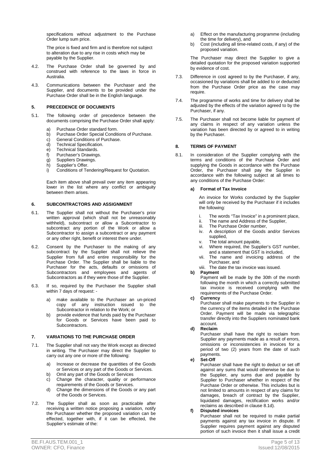specifications without adjustment to the Purchase Order lump sum price.

The price is fixed and firm and is therefore not subject to alteration due to any rise in costs which may be payable by the Supplier.

- 4.2. The Purchase Order shall be governed by and construed with reference to the laws in force in Australia.
- 4.3. Communications between the Purchaser and the Supplier, and documents to be provided under the Purchase Order shall be in the English language.

#### **5. PRECEDENCE OF DOCUMENTS**

- 5.1. The following order of precedence between the documents comprising the Purchase Order shall apply:
	- a) Purchase Order standard form.
	- b) Purchase Order Special Conditions of Purchase.
	- c) General Conditions of Purchase.
	- d) Technical Specification.<br>
	e) Technical Standards.
	- e) Technical Standards.<br>f) Purchaser's Drawings
	- Purchaser's Drawings.
	- g) Suppliers Drawings.
	- h) Supplier's Offer.
	- i) Conditions of Tendering/Request for Quotation.

Each item above shall prevail over any item appearing lower in the list where any conflict or ambiguity between them arises.

#### **6. SUBCONTRACTORS AND ASSIGNMENT**

- 6.1. The Supplier shall not without the Purchaser's prior written approval (which shall not be unreasonably withheld), subcontract or allow a Subcontractor to subcontract any portion of the Work or allow a Subcontractor to assign a subcontract or any payment or any other right, benefit or interest there under.
- 6.2. Consent by the Purchaser to the making of any subcontract by the Supplier shall not relieve the Supplier from full and entire responsibility for the Purchase Order. The Supplier shall be liable to the Purchaser for the acts, defaults or omissions of Subcontractors and employees and agents of Subcontractors as if they were those of the Supplier.
- 6.3. If so, required by the Purchaser the Supplier shall within 7 days of request:
	- a) make available to the Purchaser an un-priced copy of any instruction issued to the Subcontractor in relation to the Work; or
	- b) provide evidence that funds paid by the Purchaser for Goods or Services have been paid to Subcontractors.

#### **7. VARIATIONS TO THE PURCHASE ORDER**

- 7.1. The Supplier shall not vary the Work except as directed in writing. The Purchaser may direct the Supplier to carry out any one or more of the following:
	- a) Increase or decrease the quantities of the Goods or Services or any part of the Goods or Services.
	- b) Omit any part of the Goods or Services
	- c) Change the character, quality or performance requirements of the Goods or Services.
	- d) Change the dimensions of the Goods or any part of the Goods or Services.
- 7.2. The Supplier shall as soon as practicable after receiving a written notice proposing a variation, notify the Purchaser whether the proposed variation can be effected, together with, if it can be effected, the Supplier's estimate of the:
- a) Effect on the manufacturing programme (including the time for delivery), and
- b) Cost (including all time-related costs, if any) of the proposed variation.

 The Purchaser may direct the Supplier to give a detailed quotation for the proposed variation supported by evidence of cost.

- 7.3. Difference in cost agreed to by the Purchaser, if any, occasioned by variations shall be added to or deducted from the Purchase Order price as the case may require.
- 7.4. The programme of works and time for delivery shall be adjusted by the effects of the variation agreed to by the Purchaser, if any.
- 7.5. The Purchaser shall not become liable for payment of any claims in respect of any variation unless the variation has been directed by or agreed to in writing by the Purchaser.

#### **8. TERMS OF PAYMENT**

8.1. In consideration of the Supplier complying with the terms and conditions of the Purchase Order and supplying the Goods in accordance with the Purchase Order, the Purchaser shall pay the Supplier in accordance with the following subject at all times to any conditions of the Purchase Order:

#### **a) Format of Tax Invoice**

An invoice for Works conducted by the Supplier will only be received by the Purchaser if it includes the following:

- i. The words "Tax Invoice" in a prominent place,
- ii. The name and Address of the Supplier,<br>iii. The Purchase Order number,
- The Purchase Order number,
- iv. A description of the Goods and/or Services supplied<sup>1</sup>
- 
- v. The total amount payable,<br>vi. Where required, the Supr Where required, the Supplier's GST number, and a statement that GST is included,
- vii. The name and invoicing address of the Purchaser, and
- viii. The date the tax invoice was issued.

#### **b) Payment**

Payment will be made by the 30th of the month following the month in which a correctly submitted tax invoice is received complying with the requirements of the Purchase Order.

#### **c) Currency**

Purchaser shall make payments to the Supplier in the currency of the items detailed in the Purchase Order. Payment will be made via telegraphic transfer directly into the Suppliers nominated bank account.

#### **d) Reclaim**

Purchaser shall have the right to reclaim from Supplier any payments made as a result of errors, omissions or inconsistencies in invoices for a period of two (2) years from the date of such payments.

#### **e) Set-Off**

Purchaser shall have the right to deduct or set off against any sums that would otherwise be due to the Supplier, any sums due and payable by Supplier to Purchaser whether in respect of the Purchase Order or otherwise. This includes but is not limited to amounts in respect of any claims for damages, breach of contract by the Supplier, liquidated damages, rectification works and/or reclaims as described in clause 8.1d).

#### **f) Disputed invoices**

Purchaser shall not be required to make partial payments against any tax invoice in dispute. If Supplier requires payment against any disputed portion of such invoice then it shall issue a credit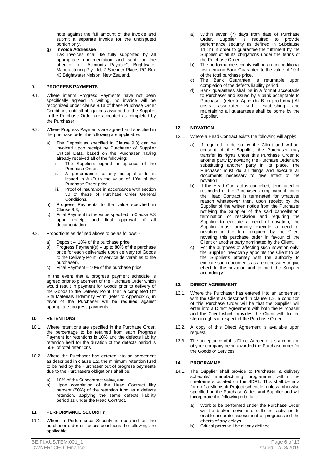note against the full amount of the invoice and submit a separate invoice for the undisputed portion only.

**g) Invoice Addressee** 

Tax invoices shall be fully supported by all appropriate documentation and sent for the attention of "Accounts Payable", Brightwater Manufacturing Pty Ltd, 7 Spencer Place, PO Box 43 Brightwater Nelson, New Zealand.

#### **9. PROGRESS PAYMENTS**

- 9.1. Where interim Progress Payments have not been specifically agreed in writing, no invoice will be recognized under clause 8.1a of these Purchase Order Conditions until all obligations assigned to the Supplier in the Purchase Order are accepted as completed by the Purchaser.
- 9.2. Where Progress Payments are agreed and specified in the purchase order the following are applicable:
	- The Deposit as specified in Clause 9.3) can be invoiced upon receipt by Purchaser of Supplier Critical Data, based on the Purchaser having already received all of the following;
		- i. The Suppliers signed acceptance of the Purchase Order.
		- ii. A performance security acceptable to it, issued in AUD to the value of 10% of the Purchase Order price.
		- iii. Proof of insurance in accordance with section 30 of these of Purchase Order General **Conditions**
	- b) Progress Payments to the value specified in Clause 9.3,
	- c) Final Payment to the value specified in Clause 9.3 upon receipt and final approval of all documentation.
- 9.3. Proportions as defined above to be as follows:
	- a) Deposit 10% of the purchase price<br>b) Progress Payment(s) up to 80% of
		- Progress Payment(s) up to 80% of the purchase price for each deliverable upon delivery (of Goods to the Delivery Point, or service deliverables to the purchaser).
		- c) Final Payment 10% of the purchase price

In the event that a progress payment schedule is agreed prior to placement of the Purchase Order which would result in payment for Goods prior to delivery of the Goods to the Delivery Point, then a completed Off Site Materials Indemnity Form (refer to Appendix A) in favor of the Purchaser will be required against appropriate progress payments.

#### **10. RETENTIONS**

- 10.1. Where retentions are specified in the Purchase Order, the percentage to be retained from each Progress Payment for retentions is 10% and the defects liability retention held for the duration of the defects period is 50% of total retentions
- 10.2. Where the Purchaser has entered into an agreement as described in clause 1.2, the minimum retention fund to be held by the Purchaser out of progress payments due to the Purchasers obligations shall be:
	- a) 10% of the Subcontract value, and
	- b) Upon completion of the Head Contract fifty percent (50%) of the retention fund as a defects retention, applying the same defects liability period as under the Head Contract.

#### **11. PERFORMANCE SECURITY**

11.1. Where a Performance Security is specified on the purchaser order or special conditions the following are applicable:

- a) Within seven (7) days from date of Purchase Order, Supplier is required to provide performance security as defined in Subclause 11.1b) in order to guarantee the fulfilment by the Supplier of all its obligations under the terms of the Purchase Order.
- b) The performance security will be an unconditional first demand Bank Guarantee to the value of 10% of the total purchase price.
- c) The Bank Guarantee is returnable upon completion of the defects liability period.
- d) Bank guarantees shall be in a format acceptable to Purchaser and issued by a bank acceptable to Purchaser. (refer to Appendix B for pro-forma) All costs associated with establishing and maintaining all guarantees shall be borne by the Supplier.

#### **12. NOVATION**

- 12.1. Where a Head Contract exists the following will apply:
	- a) If required to do so by the Client and without consent of the Supplier, the Purchaser may transfer its rights under this Purchase Order to another party by novating the Purchase Order and substituting another party in its place. The Purchaser must do all things and execute all documents necessary to give effect of the novation.
	- If the Head Contract is cancelled, terminated or rescinded or the Purchaser's employment under the Head Contract is terminated for whatever reason whatsoever then, upon receipt by the Supplier of the written notice from the Purchaser notifying the Supplier of the said cancellation, termination or rescission and requiring the Supplier to execute a deed of novation, the Supplier must promptly execute a deed of novation in the form required by the Client novating this purchase order in favour of the Client or another party nominated by the Client.
	- c) For the purposes of affecting such novation only, the Supplier irrevocably appoints the Client to be the Supplier's attorney with the authority to execute such documents as are necessary to give effect to the novation and to bind the Supplier accordingly.

#### **13. DIRECT AGREEMENT**

- 13.1. Where the Purchaser has entered into an agreement with the Client as described in clause 1.2, a condition of this Purchase Order will be that the Supplier will enter into a Direct Agreement with both the Purchaser and the Client which provides the Client with limited step-in rights in respect of the Purchase Order.
- 13.2. A copy of this Direct Agreement is available upon request.
- 13.3. The acceptance of this Direct Agreement is a condition of your company being awarded the Purchase order for the Goods or Services.

#### **14. PROGRAMME**

- 14.1. The Supplier shall provide to Purchaser, a delivery schedule/ manufacturing programme within the timeframe stipulated on the SDRL. This shall be in a form of a Microsoft Project schedule, unless otherwise specified on the Purchase Order, and Supplier and will incorporate the following criteria:
	- a) Work to be performed under the Purchase Order will be broken down into sufficient activities to enable accurate assessment of progress and the effects of any delays.
	- b) Critical paths will be clearly defined.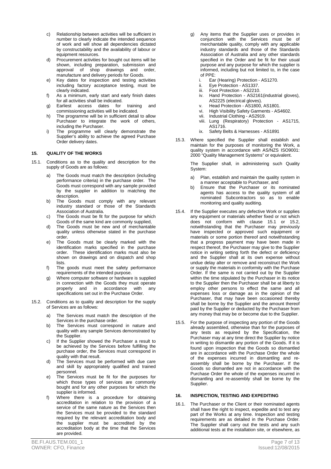- c) Relationship between activities will be sufficient in number to clearly indicate the intended sequence of work and will show all dependencies dictated by constructability and the availability of labour or equipment resources.
- d) Procurement activities for bought out items will be shown, including preparation, submission and approval of shop drawings and order, manufacture and delivery periods for Goods.
- e) Key dates for inspection and testing activities including factory acceptance testing, must be clearly indicated.
- f) As a minimum, early start and early finish dates for all activities shall be indicated.
- g) Earliest access dates for training and commissioning activities will be indicated.
- h) The programme will be in sufficient detail to allow Purchaser to integrate the work of others, including the Purchaser.
- i) The programme will clearly demonstrate the Supplier's ability to achieve the agreed Purchase Order delivery dates.

#### **15. QUALITY OF THE WORKS**

- 15.1. Conditions as to the quality and description for the supply of Goods are as follows:
	- a) The Goods must match the description (including performance criteria) in the purchase order. The Goods must correspond with any sample provided by the supplier in addition to matching the description.
	- b) The Goods must comply with any relevant industry standard or those of the Standards Association of Australia.
	- c) The Goods must be fit for the purpose for which Goods of the same kind are commonly supplied,
	- d) The Goods must be new and of merchantable quality unless otherwise stated in the purchase order.
	- e) The Goods must be clearly marked with the identification marks specified in the purchase order. These identification marks must also be shown on drawings and on dispatch and shop lists.
	- f) The goods must meet the safety performance requirements of the intended purpose.
	- g) Where computer software or hardware is supplied in connection with the Goods they must operate<br>properly and in accordance with anv and in accordance with anv specifications set out in the Purchase Order.
- 15.2. Conditions as to quality and description for the supply of Services are as follows:
	- a) The Services must match the description of the Services in the purchase order.
	- b) The Services must correspond in nature and quality with any sample Services demonstrated by the Supplier.
	- c) If the Supplier showed the Purchaser a result to be achieved by the Services before fulfilling the purchase order, the Services must correspond in quality with that result.
	- d) The Services must be performed with due care and skill by appropriately qualified and trained personnel.
	- e) The Services must be fit for the purposes for which those types of services are commonly bought and for any other purposes for which the supplier is informed.
	- f) Where there is a procedure for obtaining accreditation in relation to the provision of a service of the same nature as the Services then the Services must be provided to the standard required by the relevant accreditation body and the supplier must be accredited by the accreditation body at the time that the Services are provided.
- g) Any items that the Supplier uses or provides in conjunction with the Services must be of merchantable quality, comply with any applicable industry standards and those of the Standards Association of Australia and any other standards specified in the Order and be fit for their usual purpose and any purpose for which the supplier is informed, including but not limited to, in the case of PPE:
	- i. Ear (Hearing) Protection AS1270.
	-
	- ii. Eye Protection AS1337.<br>iii. Foot Protection AS2210 Foot Protection - AS2210.
	- iv. Hand Protection AS2161(industrial gloves), AS2225 (electrical gloves).
	- v. Head Protection AS1800, AS1801.
	- vi. High Visibility Safety Garments AS4602.
	- vii. Industrial Clothing AS2919.
	- viii. Lung (Respiratory) Protection AS1715, AS1716.
	- ix. Safety Belts & Harnesses AS1891
- 15.3. Where specified the Supplier shall establish and maintain for the purposes of monitoring the Work, a quality system in accordance with AS/NZS ISO9001: 2000 "Quality Management Systems" or equivalent.

The Supplier shall, in administering such Quality System:

- a) Plan, establish and maintain the quality system in a manner acceptable to Purchaser, and
- b) Ensure that the Purchaser or its nominated agents has access to the quality system of all nominated Subcontractors so as to enable monitoring and quality auditing.
- 15.4. If the Supplier executes any defective Work or supplies any equipment or materials whether fixed or not which does not conform with clause 15.1 or 15.2, notwithstanding that the Purchaser may previously have inspected or approved such equipment or materials or some portion thereof and notwithstanding that a progress payment may have been made in respect thereof, the Purchaser may give to the Supplier notice in writing setting forth the defect or deficiency and the Supplier shall at its own expense without undue delay alter or remove and reconstruct the Work or supply the materials in conformity with the Purchase Order. If the same is not carried out by the Supplier within the time stipulated by the Purchaser in its notice to the Supplier then the Purchaser shall be at liberty to employ other persons to effect the same and all expenses loss or damage as in the opinion of the Purchaser, that may have been occasioned thereby shall be borne by the Supplier and the amount thereof paid by the Supplier or deducted by the Purchaser from any money that may be or become due to the Supplier.
- 15.5. For the purpose of inspecting any portion of the Goods already assembled, otherwise than for the purposes of any tests as required by the Specification, the Purchaser may at any time direct the Supplier by notice in writing to dismantle any portion of the Goods. If it is found upon inspection that the Goods so dismantled are in accordance with the Purchase Order the whole of the expenses incurred in dismantling and reassembly shall be borne by the Purchaser. If the Goods so dismantled are not in accordance with the Purchase Order the whole of the expenses incurred in dismantling and re-assembly shall be borne by the Supplier.

#### **16. INSPECTION, TESTING AND EXPEDITING**

16.1. The Purchaser or the Client or their nominated agents shall have the right to inspect, expedite and to test any part of the Works at any time. Inspection and testing requirements are as detailed in the Purchase Order. The Supplier shall carry out the tests and any such additional tests at the installation site, or elsewhere, as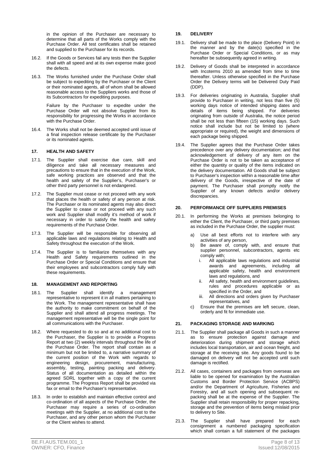in the opinion of the Purchaser are necessary to determine that all parts of the Works comply with the Purchase Order. All test certificates shall be retained and supplied to the Purchaser for its records.

- 16.2. If the Goods or Services fail any tests then the Supplier shall with all speed and at its own expense make good the defects.
- 16.3. The Works furnished under the Purchase Order shall be subject to expediting by the Purchaser or the Client or their nominated agents, all of whom shall be allowed reasonable access to the Suppliers works and those of its Subcontractors for expediting purposes.

Failure by the Purchaser to expedite under the Purchase Order will not absolve Supplier from its responsibility for progressing the Works in accordance with the Purchase Order.

16.4. The Works shall not be deemed accepted until issue of a final inspection release certificate by the Purchaser or its nominated agents.

#### **17. HEALTH AND SAFETY**

- 17.1. The Supplier shall exercise due care, skill and diligence and take all necessary measures and precautions to ensure that in the execution of the Work, safe working practices are observed and that the health and safety of the Supplier's, Purchaser's or other third party personnel is not endangered.
- 17.2. The Supplier must cease or not proceed with any work that places the health or safety of any person at risk. The Purchaser or its nominated agents may also direct the Supplier to cease or not proceed with any such work and Supplier shall modify it's method of work if necessary in order to satisfy the health and safety requirements of the Purchase Order.
- 17.3. The Supplier will be responsible for observing all applicable laws and regulations relating to Health and Safety throughout the execution of the Work.
- 17.4. The Supplier is to familiarize themselves with any Health and Safety requirements outlined in the Purchase Order or Special Conditions and ensure that their employees and subcontractors comply fully with these requirements.

#### **18. MANAGEMENT AND REPORTING**

- 18.1. The Supplier shall identify a management representative to represent it in all matters pertaining to the Work. The management representative shall have the authority to make commitment on behalf of the Supplier and shall attend all progress meetings. The management representative will be the single point for all communications with the Purchaser.
- 18.2. Where requested to do so and at no additional cost to the Purchaser, the Supplier is to provide a Progress Report at two (2) weekly intervals throughout the life of the Purchase Order. The report shall contain as a minimum but not be limited to, a narrative summary of the current position of the Work with regards to engineering design, procurement, manufacturing, assembly, testing, painting packing and delivery. Status of all documentation as detailed within the agreed SDRL together with a copy of the current programme. The Progress Report shall be provided via fax or email to the Purchaser's representative.
- 18.3. In order to establish and maintain effective control and co-ordination of all aspects of the Purchase Order, the Purchaser may require a series of co-ordination meetings with the Supplier, at no additional cost to the Purchaser, and any other person whom the Purchaser or the Client wishes to attend.

#### **19. DELIVERY**

- 19.1. Delivery shall be made to the place (Delivery Point) in the manner and by the date(s) specified in the Purchase Order or Special Conditions, or as may hereafter be subsequently agreed in writing.
- 19.2. Delivery of Goods shall be interpreted in accordance with Incoterms 2010 as amended from time to time thereafter. Unless otherwise specified in the Purchase Order the Delivery terms will be Delivered Duty Paid (DDP).
- 19.3. For deliveries originating in Australia, Supplier shall provide to Purchaser in writing, not less than five (5) working days notice of intended shipping dates and details of items being shipped. For deliveries originating from outside of Australia, the notice period shall be not less than fifteen (15) working days. Such notice shall include but not be limited to (where appropriate or required), the weight and dimensions of each package being shipped.
- 19.4. The Supplier agrees that the Purchase Order takes precedence over any delivery documentation; and that acknowledgement of delivery of any item on the Purchase Order is not to be taken as acceptance of either the quantity or quality of the items indicated on the delivery documentation. All Goods shall be subject to Purchaser's inspection within a reasonable time after delivery of the Goods, irrespective of the date of payment. The Purchaser shall promptly notify the Supplier of any known defects and/or delivery discrepancies.

#### **20. PERFORMANCE OFF SUPPLIERS PREMISES**

- 20.1. In performing the Works at premises belonging to either the Client, the Purchaser, or third party premises as included in the Purchase Order, the supplier must:
	- a) Use all best efforts not to interfere with any activities of any person,
	- b) Be aware of, comply with, and ensure that supplier personnel, subcontractors, agents etc comply with;
		- i. All applicable laws regulations and industrial awards and agreements, including all applicable safety, health and environment laws and regulations, and
		- ii. All safety, health and environment guidelines, rules and procedures applicable or as specified in the Order, and
		- iii. All directions and orders given by Purchaser representatives, and
	- c) Ensure that the premises are left secure, clean, orderly and fit for immediate use.

#### **21. PACKAGING STORAGE AND MARKING**

- 21.1. The Supplier shall package all Goods in such a manner as to ensure protection against damage and deterioration during shipment and storage which includes local transportation, air and ocean freight, and storage at the receiving site. Any goods found to be damaged on delivery will not be accepted until such damage is rectified.
- 21.2. All cases, containers and packages from overseas are liable to be opened for examination by the Australian Customs and Border Protection Service (ACBPS) and/or the Department of Agriculture, Fisheries and Forestry, and all such opening and subsequent repacking shall be at the expense of the Supplier. The Supplier shall retain responsibility for proper repacking, storage and the prevention of items being mislaid prior to delivery to Site.
- 21.3. The Supplier shall have prepared for each consignment a numbered packaging specification which shall contain a full statement of the packages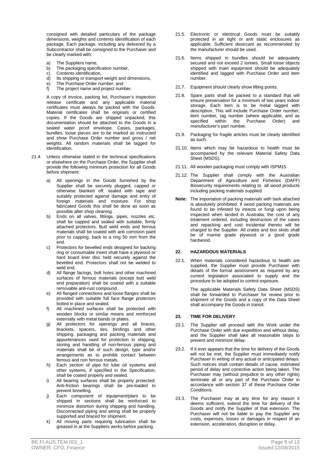consigned with detailed particulars of the package dimensions, weights and contents identification of each package. Each package, including any delivered by a Subcontractor shall be consigned to the Purchaser and be clearly marked with:

- a) The Suppliers name,
- b) The packaging specification number,
- c) Contents identification,<br>d) Its shipping or transport
- Its shipping or transport weight and dimensions,
- e) The Purchase Order number, and
- f) The project name and project number.

 A copy of invoice, packing list, Purchaser's inspection release certificate and any applicable material certificates must always be packed with the Goods. Material certificates shall be originals or certified copies. If the Goods are shipped unpacked, this documentation should be attached to the Goods in a sealed water proof envelope. Cases, packages, bundles, loose pieces are to be marked as instructed and show Purchase Order number and gross / net weights. All random materials shall be tagged for identification.

- 21.4. Unless otherwise stated in the technical specifications or elsewhere on the Purchase Order, the Supplier shall provide the following minimum protection for all Goods before shipment:
	- a) All openings in the Goods furnished by the Supplier shall be securely plugged, capped or otherwise blanked off, sealed with tape and suitably protected against damage and entry of foreign materials and moisture. For shop fabricated Goods this shall be done as soon as possible after shop cleaning.
	- b) Ends on all valves, fittings, pipes, nozzles etc. shall be capped and sealed with suitable, firmly attached protectors. Butt weld ends and ferrous materials shall be coated with anti corrosion paint prior to capping, back to a ring 50 mm from the end.
	- c) Protectors for bevelled ends designed for backing ring or consumable insert shall have a plywood or hard board liner disc held securely against the bevelled end. Protectors shall not be welded to weld end.
	- d) All flange facings, bolt holes and other machined surfaces of ferrous materials (except butt weld end preparation) shall be coated with a suitable removable anti-rust compound.
	- e) All flanged connections and loose flanges shall be provided with suitable full face flange protectors bolted in place and sealed.
	- f) All machined surfaces shall be protected with wooden blocks or similar means and reinforced externally with metal bands or plates.
	- g) All protectors for openings and all braces, brackets, spacers, ties, bindings and other shipping, packaging and packing materials and appurtenances used for protection in shipping. storing and handling of non-ferrous piping and materials shall be of such design, type and/or arrangements as to prohibit contact between ferrous and non ferrous metals.
	- h) Each section of pipe for lube oil systems and other systems, if specified in the Specification, shall be coated properly and sealed.
	- i) All bearing surfaces shall be properly protected. Anti-friction bearings shall be pre-loaded to prevent brinelling.
	- j) Each component of equipment/plant to be shipped in sections shall be reinforced to minimize distortion during shipping and handling. Disconnected piping and wiring shall be properly supported and braced for shipment.
	- k) All moving parts requiring lubrication shall be greased in at the Suppliers works before packing.
- 21.5. Electronic or electrical Goods must be suitably protected in air tight or anti static enclosures as applicable. Sufficient desiccant as recommended by the manufacturer should be used.
- 21.6. Items shipped in bundles should be adequately secured and not exceed 2 tonnes. Small loose objects shipped with main equipment should be adequately identified and tagged with Purchase Order and item number.
- 21.7. Equipment should clearly show lifting points.
- 21.8. Spare parts shall be packed to a standard that will ensure preservation for a minimum of two years indoor storage. Each item is to be metal tagged with description. This will include Purchase Order number, item number, tag number (where applicable, and as specified within the Purchase Order) and manufacturer's part number.
- 21.9. Packaging for fragile articles must be clearly identified as such.
- 21.10. Items which may be hazardous to health must be accompanied by the relevant Material Safety Data Sheet (MSDS).
- 21.11. All wooden packaging must comply with ISPM15.
- 21.12. The Supplier shall comply with the Australian Department of Agriculture and Fisheries (DAFF) Biosecurity requirements relating to all wood products including packing materials supplied.
- **Note:** The importation of packing materials with bark attached is absolutely prohibited. If wood packing materials are found to be infested by insects or fungi upon being inspected when landed in Australia, the cost of any treatment ordered, including destruction of the cases and repacking and cost incidental thereto will be charged to the Supplier. All crates and box skids shall be of marine grade plywood or a good grade hardwood.

#### **22. HAZARDOUS MATERIALS**

22.1. When materials considered hazardous to health are supplied, the Supplier must provide Purchaser with details of the formal assessment as required by any current legislation associated to supply and the procedure to be adopted to control exposure.

> The applicable Materials Safety Data Sheet (MSDS) shall be forwarded to Purchaser for review prior to shipment of the Goods and a copy of the Data Sheet shall accompany the Goods in transit.

#### **23. TIME FOR DELIVERY**

- 23.1. The Supplier will proceed with the Work under the Purchase Order with due expedition and without delay. and the Supplier shall take all reasonable steps to prevent and minimize delay.
- 23.2. If it ever appears that the time for delivery of the Goods will not be met, the Supplier must immediately notify Purchaser in writing of any actual or anticipated delays. Such notices shall contain details of cause, estimated period of delay and corrective action being taken. The Purchaser may (without prejudice to any other rights) terminate all or any part of the Purchase Order in accordance with section 37 of these Purchase Order Conditions.
- 23.3. The Purchaser may at any time for any reason it deems sufficient, extend the time for delivery of the Goods and notify the Supplier of that extension. The Purchaser will not be liable to pay the Supplier any costs, expenses, losses or damages in respect of an extension, acceleration, disruption or delay.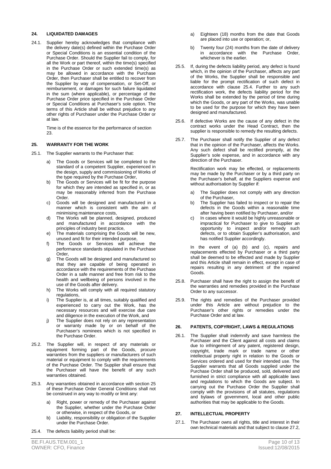#### **24. LIQUIDATED DAMAGES**

24.1. Supplier hereby acknowledges that compliance with the delivery date(s) defined within the Purchase Order or Special Conditions is an essential condition of the Purchase Order. Should the Supplier fail to comply, for all the Work or part thereof, within the time(s) specified in the Purchase Order or such extended time(s) as may be allowed in accordance with the Purchase Order, then Purchaser shall be entitled to recover from the Supplier by way of compensation, or Set-Off, or reimbursement, or damages for such failure liquidated in the sum (where applicable), or percentage of the Purchase Order price specified in the Purchase Order or Special Conditions at Purchaser's sole option. The terms of this Article shall be without prejudice to any other rights of Purchaser under the Purchase Order or at law.

> Time is of the essence for the performance of section 23.

#### **25. WARRANTY FOR THE WORK**

- 25.1. The Supplier warrants to the Purchaser that:
	- a) The Goods or Services will be completed to the standard of a competent Supplier, experienced in the design, supply and commissioning of Works of the type required by the Purchase Order,
	- b) The Goods or Services will be fit for the purpose for which they are intended as specified in, or as may be reasonably inferred from the Purchase Order.
	- c) Goods will be designed and manufactured in a manner which is consistent with the aim of minimising maintenance costs,
	- d) The Works will be planned, designed, produced and manufactured in accordance with the principles of industry best practice,
	- e) The materials comprising the Goods will be new, unused and fit for their intended purpose,
	- f) The Goods or Services will achieve the performance standards stipulated in the Purchase Order,
	- g) The Goods will be designed and manufactured so that they are capable of being operated in accordance with the requirements of the Purchase Order in a safe manner and free from risk to the health and wellbeing of persons involved in the use of the Goods after delivery.
	- h) The Works will comply with all required statutory regulations,
	- i) The Supplier is, at all times, suitably qualified and experienced to carry out the Work, has the necessary resources and will exercise due care and diligence in the execution of the Work, and
	- j) The Supplier does not rely on any representation or warranty made by or on behalf of the Purchaser's nominees which is not specified in the Purchase Order.
- 25.2. The Supplier will, in respect of any materials or equipment forming part of the Goods, procure warranties from the suppliers or manufacturers of such material or equipment to comply with the requirements of the Purchase Order. The Supplier shall ensure that the Purchaser will have the benefit of any such warranties obtained.
- 25.3. Any warranties obtained in accordance with section 25 of these Purchase Order General Conditions shall not be construed in any way to modify or limit any:
	- a) Right, power or remedy of the Purchaser against the Supplier, whether under the Purchase Order or otherwise, in respect of the Goods, or
	- b) Liability, responsibility or obligation of the Supplier under the Purchase Order.
- 25.4. The defects liability period shall be:
- a) Eighteen (18) months from the date that Goods are placed into use or operation; or,
- b) Twenty four (24) months from the date of delivery in accordance with the Purchase Order, whichever is the earlier.
- 25.5. If, during the defects liability period, any defect is found which, in the opinion of the Purchaser, affects any part of the Works, the Supplier shall be responsible and liable for the prompt rectification of such defect in accordance with clause 25.4. Further to any such rectification work, the defects liability period for the Works shall be extended by the period of time during which the Goods, or any part of the Works, was unable to be used for the purpose for which they have been designed and manufactured.
- 25.6. If defective Works are the cause of any defect in the contract works under the Head Contract, then the supplier is responsible to remedy the resulting defects.
- 25.7. The Purchaser shall notify the Supplier of any defect that in the opinion of the Purchaser, affects the Works. Any such defect shall be rectified promptly, at the Supplier's sole expense, and in accordance with any direction of the Purchaser.

Rectification work may be effected, or replacements may be made by the Purchaser or by a third party on the Purchaser's behalf, at the Suppliers expense and without authorisation by Supplier if:

- a) The Supplier does not comply with any direction of the Purchaser,
- b) The Supplier has failed to inspect or to repair the defects in the Goods within a reasonable time after having been notified by Purchaser, and/or
- c) In cases where it would be highly unreasonable or impractical for Purchaser to give to Supplier an opportunity to inspect and/or remedy such defects, or to obtain Supplier's authorisation, and has notified Supplier accordingly.

 In the event of (a) (b) and (c), repairs and replacements effected by Purchaser or a third party shall be deemed to be effected and made by Supplier and this Article shall remain in effect, except in case of repairs resulting in any detriment of the repaired Goods.

- 25.8. Purchaser shall have the right to assign the benefit of the warranties and remedies provided in the Purchase Order to any successor.
- 25.9. The rights and remedies of the Purchaser provided under this Article are without prejudice to the Purchaser's other rights or remedies under the Purchase Order and at law.

#### **26. PATENTS, COPYRIGHT, LAWS & REGULATIONS**

26.1. The Supplier shall indemnify and save harmless the Purchaser and the Client against all costs and claims due to infringement of any patent, registered design, copyright, trade mark or trade name or other intellectual property right in relation to the Goods or Services ordered and used for their intended use. The Supplier warrants that all Goods supplied under the Purchase Order shall be produced, sold, delivered and furnished in strict compliance with all applicable laws and regulations to which the Goods are subject. In carrying out the Purchase Order the Supplier shall comply with the provisions of all statutes, regulations and bylaws of government, local and other public authorities that may be applicable to the Goods.

#### **27. INTELLECTUAL PROPERTY**

27.1. The Purchaser owns all rights, title and interest in their own technical materials and that subject to clause 27.2,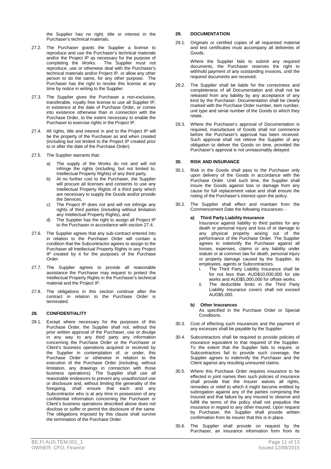the Supplier has no right, title or interest in the Purchaser's technical materials.

- 27.2. The Purchaser grants the Supplier a license to reproduce and use the Purchaser's technical materials and/or the Project IP as necessary for the purpose of completing the Works. The Supplier must not The Supplier must not reproduce, use or otherwise deal with the Purchaser's technical materials and/or Project IP, or allow any other person to do the same, for any other purpose. The Purchaser has the right to revoke this license at any time by notice in writing to the Supplier.
- 27.3. The Supplier gives the Purchaser a non-exclusive. transferable, royalty free license to use all Supplier IP, in existence at the date of Purchase Order, or comes into existence otherwise than in connection with the Purchase Order, to the extent necessary to enable the Purchaser to exercise rights in the Project IP.
- 27.4. All rights, title and interest in and to the Project IP will be the property of the Purchaser as and when created (including but not limited to the Project IP created prior to or after the date of the Purchase Order).
- 27.5. The Supplier warrants that:
	- a) The supply of the Works do not and will not infringe the rights (including, but not limited to, Intellectual Property Rights) of any third party,
	- b) At no further cost to the Purchaser, the Supplier will procure all licenses and consents to use any Intellectual Property Rights of a third party which are necessary to supply the Goods and/or provide the Services,
	- c) The Project IP does not and will not infringe any rights of third parties (including without limitation any Intellectual Property Rights), and
	- d) The Supplier has the right to assign all Project IP to the Purchaser in accordance with section 27.4.
- 27.6. The Supplier agrees that any sub-contract entered into in relation to the Purchaser Order will contain a condition that the Subcontractor agrees to assign to the Purchaser all Intellectual Property Rights in any Project IP created by it for the purposes of the Purchase Order.
- 27.7. The Supplier agrees to provide all reasonable assistance the Purchaser may request to protect the Intellectual Property Rights in the Purchaser's technical material and the Project IP.
- 27.8. The obligations in this section continue after the contract in relation to the Purchase Order is terminated.

#### **28. CONFIDENTIALITY**

28.1. Except where necessary for the purposes of this Purchase Order, the Supplier shall not, without the prior written approval of the Purchaser, use or divulge in any way to any third party any information concerning the Purchase Order or the Purchaser or Client's business operations acquired or received by the Supplier in contemplation of, or under, this Purchase Order or otherwise in relation to the execution of the Purchase Order (including, without limitation, any drawings in connection with those business operations). The Supplier shall use all reasonable endeavors to prevent any unauthorized use or disclosure and, without limiting the generality of the foregoing, shall ensure that each and any Subcontractor who is at any time in possession of any confidential information concerning the Purchaser or Client's business operations described above does not disclose or suffer or permit the disclosure of the same. The obligations imposed by this clause shall survive the termination of the Purchase Order.

#### **29. DOCUMENTATION**

29.1. Originals or certified copies of all requested material and test certificates must accompany all deliveries of Goods.

> Where the Supplier fails to submit any required documents, the Purchaser reserves the right to withhold payment of any outstanding invoices, until the required documents are received.

- 29.2. The Supplier shall be liable for the correctness and completeness of all Documentation and shall not be released from any liability by any acceptance of any kind by the Purchaser. Documentation shall be clearly marked with the Purchase Order number, item number, unit type and serial number of the Goods to which they relate.
- 29.3. Where the Purchaser's approval of Documentation is required, manufacture of Goods shall not commence before the Purchaser's approval has been received. Such approval shall not relieve the Supplier of any obligation to deliver the Goods on time, provided the Purchaser's approval is not unreasonably delayed.

#### **30. RISK AND INSURANCE**

- 30.1. Risk in the Goods shall pass to the Purchaser only upon delivery of the Goods in accordance with the Purchase Order. Until such time, the Supplier shall insure the Goods against loss or damage from any cause for full replacement value and shall ensure the noting of the Purchaser's interest upon the policy.
- 30.2. The Supplier shall effect and maintain from the Commencement Date the following insurances: -

#### **a) Third Party Liability Insurance**

Insurance against liability to third parties for any death or personal injury and loss of or damage to any physical property arising out of the performance of the Purchase Order. The Supplier agrees to indemnify the Purchaser against all losses, expenses, claims or any liability under statute or at common law for death, personal injury or property damage caused by the Supplier, its employees, agents or Subcontractors.

- i. The Third Party Liability Insurance shall be for not less than AUD\$10,000,000 for site works and AUD\$5,000,000 for offsite works.
- ii. The deductible limits in the Third Party Liability Insurance covers shall not exceed AUD\$5,000.

#### **b) Other Insurances**

As specified in the Purchase Order or Special Conditions.

- 30.3. Cost of effecting such insurances and the payment of any excesses shall be payable by the Supplier.
- 30.4. Subcontractors shall be required to provide policies of insurance equivalent to that required of the Supplier. To the extent that the Supplier fails to require, or Subcontractors fail to provide such coverage, the Supplier agrees to indemnify the Purchaser and the Client against any resulting uninsured claims.
- 30.5. Where this Purchase Order requires insurance to be effected in joint names then such policies of insurance shall provide that the Insurer waives all rights, remedies or relief to which it might become entitled by subrogation against any of the parties comprising the Insured and that failure by any Insured to observe and fulfill the terms of the policy shall not prejudice the insurance in regard to any other Insured. Upon request by Purchaser, the Supplier shall provide written confirmation from its insurer that this is in place.
- 30.6. The Supplier shall provide on request by the Purchaser, an insurance information form from its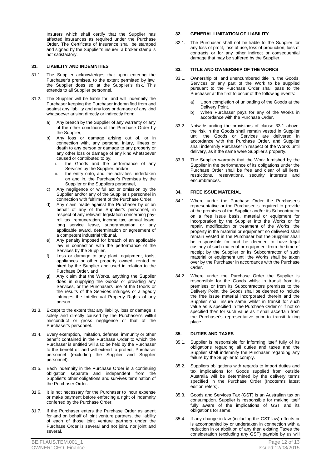Insurers which shall certify that the Supplier has affected insurances as required under the Purchase Order. The Certificate of Insurance shall be stamped and signed by the Supplier's insurer; a broker stamp is not satisfactory.

#### **31. LIABILITY AND INDEMNITIES**

- 31.1. The Supplier acknowledges that upon entering the Purchaser's premises, to the extent permitted by law, the Supplier does so at the Supplier's risk. This extends to all Supplier personnel.
- 31.2. The Supplier will be liable for, and will indemnify the Purchaser keeping the Purchaser indemnified from and against any liability and any loss or damage of any kind whatsoever arising directly or indirectly from:
	- a) Any breach by the Supplier of any warranty or any of the other conditions of the Purchase Order by the Supplier.
	- b) Any loss or damage arising out of, or in connection with, any personal injury, illness or death to any person or damage to any property or any other loss or damage of any kind whatsoever caused or contributed to by;
		- i. the Goods and the performance of any Services by the Supplier, and/or
		- the entry onto, and the activities undertaken on and in, the Purchaser's Premises by the Supplier or the Suppliers personnel,
	- c) Any negligence or wilful act or omission by the Supplier and/or any of the Supplier's personnel in connection with fulfilment of the Purchase Order,
	- Any claim made against the Purchaser by or on behalf of any of the Supplier's personnel, in respect of any relevant legislation concerning payroll tax, remuneration, income tax, annual leave, long service leave, superannuation or any applicable award, determination or agreement of a competent industrial tribunal,
	- e) Any penalty imposed for breach of an applicable law in connection with the performance of the Services by the Supplier,
	- f) Loss or damage to any plant, equipment, tools, appliances or other property owned, rented or hired by the Supplier and used in relation to the Purchase Order, and
	- g) Any claim that the Works, anything the Supplier does in supplying the Goods or providing any Services, or the Purchasers use of the Goods or the results of the Services infringes or allegedly infringes the Intellectual Property Rights of any person.
- 31.3. Except to the extent that any liability, loss or damage is solely and directly caused by the Purchaser's willful misconduct or gross negligence or that of the Purchaser's personnel.
- 31.4. Every exemption, limitation, defense, immunity or other benefit contained in the Purchase Order to which the Purchaser is entitled will also be held by the Purchaser to the benefit of, and will extend to protect, Purchaser personnel (excluding the Supplier and Supplier personnel).
- 31.5. Each indemnity in the Purchase Order is a continuing obligation separate and independent from the Supplier's other obligations and survives termination of the Purchaser Order.
- 31.6. It is not necessary for the Purchaser to incur expense or make payment before enforcing a right of indemnity conferred by the Purchase Order.
- 31.7. If the Purchaser enters the Purchase Order as agent for and on behalf of joint venture partners, the liability of each of those joint venture partners under the Purchase Order is several and not joint, nor joint and several.

32.1. The Purchaser shall not be liable to the Supplier for any loss of profit, loss of use, loss of production, loss of contracts or for any other indirect or consequential damage that may be suffered by the Supplier.

#### **33. TITLE AND OWNERSHIP OF THE WORKS**

- 33.1. Ownership of, and unencumbered title in, the Goods, Services or any part of the Work to be supplied pursuant to the Purchase Order shall pass to the Purchaser at the first to occur of the following events:
	- a) Upon completion of unloading of the Goods at the Delivery Point.
	- b) When Purchaser pays for any of the Works in accordance with the Purchase Order.
- 33.2. Notwithstanding the provisions of clause 33.1 above, the risk in the Goods shall remain vested in Supplier until the Goods or Services are delivered in accordance with the Purchase Order, and Supplier shall indemnify Purchaser in respect of the Works until delivery, as if the same were Supplier's property.
- 33.3. The Supplier warrants that the Work furnished by the Supplier in the performance of its obligations under the Purchase Order shall be free and clear of all liens, restrictions, reservations, security interests and encumbrances.

#### **34. FREE ISSUE MATERIAL**

- 34.1. Where under the Purchase Order the Purchaser's representative or the Purchaser is required to provide at the premises of the Supplier and/or its Subcontractor on a free issue basis, material or equipment for incorporation by the Supplier into the Works or for repair, modification or treatment of the Works, the property in the material or equipment so delivered shall remain vested in the Purchaser but the Supplier shall be responsible for and be deemed to have legal custody of such material or equipment from the time of receipt by the Supplier or its Subcontractor of such material or equipment until the Works shall be taken over by the Purchaser in accordance with the Purchase Order.
- 34.2. Where under the Purchase Order the Supplier is responsible for the Goods whilst in transit from its premises or from its Subcontractors premises to the Delivery Point, the Goods shall be deemed to include the free issue material incorporated therein and the Supplier shall insure same whilst in transit for such value as is specified in the Purchase Order or if not so specified then for such value as it shall ascertain from the Purchaser's representative prior to transit taking place.

#### **35. DUTIES AND TAXES**

- 35.1. Supplier is responsible for informing itself fully of its obligations regarding all duties and taxes and the Supplier shall indemnify the Purchaser regarding any failure by the Supplier to comply.
- 35.2. Suppliers obligations with regards to import duties and tax implications for Goods supplied from outside Australia will be determined by the delivery terms specified in the Purchase Order (Incoterms latest edition refers).
- 35.3. Goods and Services Tax (GST) is an Australian tax on consumption. Supplier is responsible for making itself fully aware of the implications of GST and its obligations for same.
- 35.4. If any change in law (including the GST law) effects or is accompanied by or undertaken in connection with a reduction in or abolition of any then existing Taxes the consideration (excluding any GST) payable by us will